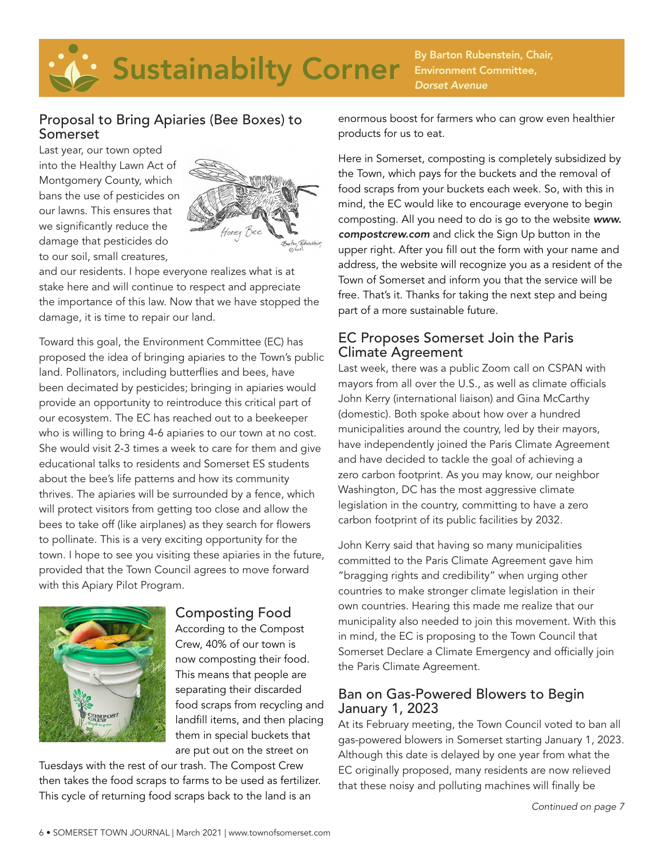# Sustainabilty Corner By Barton Rubenstein, Chair,

## Environment Committee, *Dorset Avenue*

#### Proposal to Bring Apiaries (Bee Boxes) to Somerset

Last year, our town opted into the Healthy Lawn Act of Montgomery County, which bans the use of pesticides on our lawns. This ensures that we significantly reduce the damage that pesticides do to our soil, small creatures,



and our residents. I hope everyone realizes what is at stake here and will continue to respect and appreciate the importance of this law. Now that we have stopped the damage, it is time to repair our land.

Toward this goal, the Environment Committee (EC) has proposed the idea of bringing apiaries to the Town's public land. Pollinators, including butterflies and bees, have been decimated by pesticides; bringing in apiaries would provide an opportunity to reintroduce this critical part of our ecosystem. The EC has reached out to a beekeeper who is willing to bring 4-6 apiaries to our town at no cost. She would visit 2-3 times a week to care for them and give educational talks to residents and Somerset ES students about the bee's life patterns and how its community thrives. The apiaries will be surrounded by a fence, which will protect visitors from getting too close and allow the bees to take off (like airplanes) as they search for flowers to pollinate. This is a very exciting opportunity for the town. I hope to see you visiting these apiaries in the future, provided that the Town Council agrees to move forward with this Apiary Pilot Program.



#### Composting Food

According to the Compost Crew, 40% of our town is now composting their food. This means that people are separating their discarded food scraps from recycling and landfill items, and then placing them in special buckets that are put out on the street on

Tuesdays with the rest of our trash. The Compost Crew then takes the food scraps to farms to be used as fertilizer. This cycle of returning food scraps back to the land is an

enormous boost for farmers who can grow even healthier products for us to eat.

Here in Somerset, composting is completely subsidized by the Town, which pays for the buckets and the removal of food scraps from your buckets each week. So, with this in mind, the EC would like to encourage everyone to begin composting. All you need to do is go to the website *www. compostcrew.com* and click the Sign Up button in the upper right. After you fill out the form with your name and address, the website will recognize you as a resident of the Town of Somerset and inform you that the service will be free. That's it. Thanks for taking the next step and being part of a more sustainable future.

#### EC Proposes Somerset Join the Paris Climate Agreement

Last week, there was a public Zoom call on CSPAN with mayors from all over the U.S., as well as climate officials John Kerry (international liaison) and Gina McCarthy (domestic). Both spoke about how over a hundred municipalities around the country, led by their mayors, have independently joined the Paris Climate Agreement and have decided to tackle the goal of achieving a zero carbon footprint. As you may know, our neighbor Washington, DC has the most aggressive climate legislation in the country, committing to have a zero carbon footprint of its public facilities by 2032.

John Kerry said that having so many municipalities committed to the Paris Climate Agreement gave him "bragging rights and credibility" when urging other countries to make stronger climate legislation in their own countries. Hearing this made me realize that our municipality also needed to join this movement. With this in mind, the EC is proposing to the Town Council that Somerset Declare a Climate Emergency and officially join the Paris Climate Agreement.

#### Ban on Gas-Powered Blowers to Begin January 1, 2023

At its February meeting, the Town Council voted to ban all gas-powered blowers in Somerset starting January 1, 2023. Although this date is delayed by one year from what the EC originally proposed, many residents are now relieved that these noisy and polluting machines will finally be